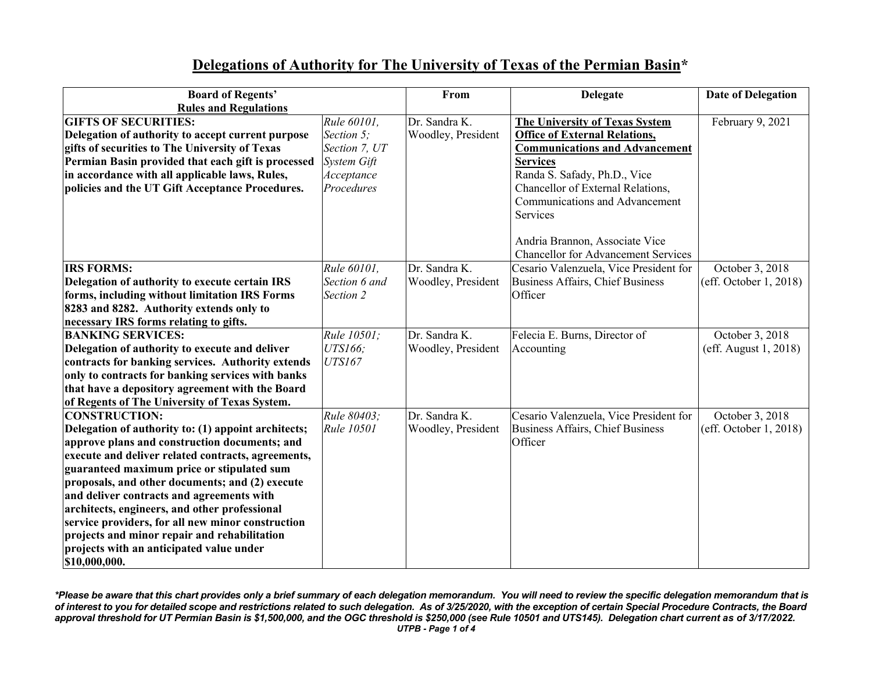## **Delegations of Authority for The University of Texas of the Permian Basin\***

| <b>Board of Regents'</b>                            |               | From               | <b>Delegate</b>                            | <b>Date of Delegation</b> |
|-----------------------------------------------------|---------------|--------------------|--------------------------------------------|---------------------------|
| <b>Rules and Regulations</b>                        |               |                    |                                            |                           |
| <b>GIFTS OF SECURITIES:</b>                         | Rule 60101,   | Dr. Sandra K.      | The University of Texas System             | February 9, 2021          |
| Delegation of authority to accept current purpose   | Section 5;    | Woodley, President | <b>Office of External Relations,</b>       |                           |
| gifts of securities to The University of Texas      | Section 7, UT |                    | <b>Communications and Advancement</b>      |                           |
| Permian Basin provided that each gift is processed  | System Gift   |                    | <b>Services</b>                            |                           |
| in accordance with all applicable laws, Rules,      | Acceptance    |                    | Randa S. Safady, Ph.D., Vice               |                           |
| policies and the UT Gift Acceptance Procedures.     | Procedures    |                    | Chancellor of External Relations,          |                           |
|                                                     |               |                    | Communications and Advancement             |                           |
|                                                     |               |                    | Services                                   |                           |
|                                                     |               |                    | Andria Brannon, Associate Vice             |                           |
|                                                     |               |                    | <b>Chancellor for Advancement Services</b> |                           |
| <b>IRS FORMS:</b>                                   | Rule 60101,   | Dr. Sandra K.      | Cesario Valenzuela, Vice President for     | October 3, 2018           |
| Delegation of authority to execute certain IRS      | Section 6 and | Woodley, President | Business Affairs, Chief Business           | (eff. October 1, 2018)    |
| forms, including without limitation IRS Forms       | Section 2     |                    | Officer                                    |                           |
| 8283 and 8282. Authority extends only to            |               |                    |                                            |                           |
| necessary IRS forms relating to gifts.              |               |                    |                                            |                           |
| <b>BANKING SERVICES:</b>                            | Rule 10501;   | Dr. Sandra K.      | Felecia E. Burns, Director of              | October 3, 2018           |
| Delegation of authority to execute and deliver      | UTS166;       | Woodley, President | Accounting                                 | (eff. August 1, 2018)     |
| contracts for banking services. Authority extends   | UTS167        |                    |                                            |                           |
| only to contracts for banking services with banks   |               |                    |                                            |                           |
| that have a depository agreement with the Board     |               |                    |                                            |                           |
| of Regents of The University of Texas System.       |               |                    |                                            |                           |
| <b>CONSTRUCTION:</b>                                | Rule 80403;   | Dr. Sandra K.      | Cesario Valenzuela, Vice President for     | October 3, 2018           |
| Delegation of authority to: (1) appoint architects; | Rule 10501    | Woodley, President | Business Affairs, Chief Business           | (eff. October 1, 2018)    |
| approve plans and construction documents; and       |               |                    | Officer                                    |                           |
| execute and deliver related contracts, agreements,  |               |                    |                                            |                           |
| guaranteed maximum price or stipulated sum          |               |                    |                                            |                           |
| proposals, and other documents; and (2) execute     |               |                    |                                            |                           |
| and deliver contracts and agreements with           |               |                    |                                            |                           |
| architects, engineers, and other professional       |               |                    |                                            |                           |
| service providers, for all new minor construction   |               |                    |                                            |                           |
| projects and minor repair and rehabilitation        |               |                    |                                            |                           |
| projects with an anticipated value under            |               |                    |                                            |                           |
| \$10,000,000.                                       |               |                    |                                            |                           |

*\*Please be aware that this chart provides only a brief summary of each delegation memorandum. You will need to review the specific delegation memorandum that is of interest to you for detailed scope and restrictions related to such delegation. As of 3/25/2020, with the exception of certain Special Procedure Contracts, the Board approval threshold for UT Permian Basin is \$1,500,000, and the OGC threshold is \$250,000 (see Rule 10501 and UTS145). Delegation chart current as of 3/17/2022. UTPB - Page 1 of 4*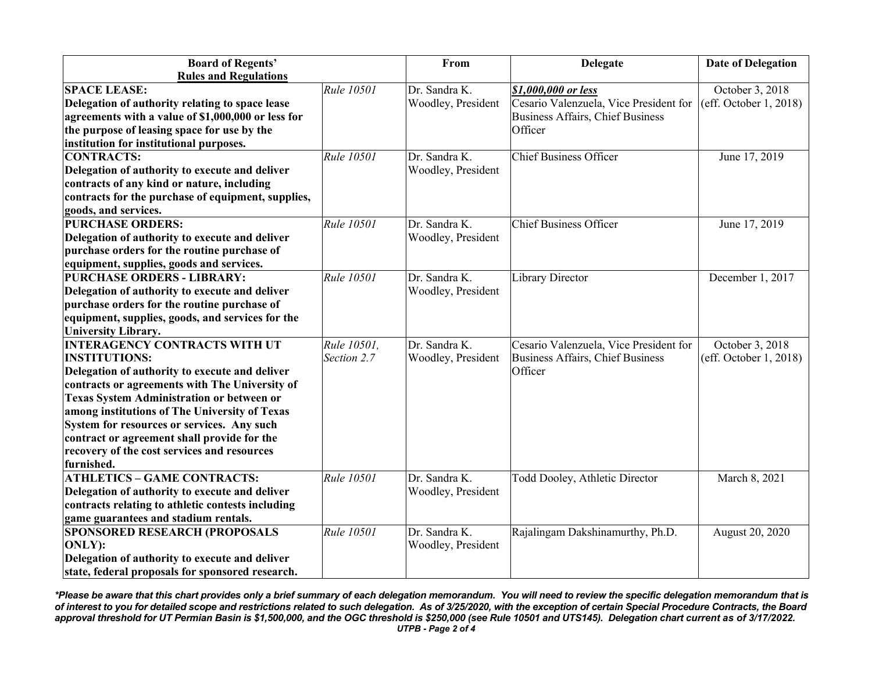| <b>Board of Regents'</b>                           |                   | From               | <b>Delegate</b>                         | <b>Date of Delegation</b> |
|----------------------------------------------------|-------------------|--------------------|-----------------------------------------|---------------------------|
| <b>Rules and Regulations</b>                       |                   |                    |                                         |                           |
| <b>SPACE LEASE:</b>                                | Rule 10501        | Dr. Sandra K.      | \$1,000,000 or less                     | October 3, 2018           |
| Delegation of authority relating to space lease    |                   | Woodley, President | Cesario Valenzuela, Vice President for  | (eff. October 1, 2018)    |
| agreements with a value of \$1,000,000 or less for |                   |                    | <b>Business Affairs, Chief Business</b> |                           |
| the purpose of leasing space for use by the        |                   |                    | Officer                                 |                           |
| institution for institutional purposes.            |                   |                    |                                         |                           |
| <b>CONTRACTS:</b>                                  | Rule 10501        | Dr. Sandra K.      | <b>Chief Business Officer</b>           | June 17, 2019             |
| Delegation of authority to execute and deliver     |                   | Woodley, President |                                         |                           |
| contracts of any kind or nature, including         |                   |                    |                                         |                           |
| contracts for the purchase of equipment, supplies, |                   |                    |                                         |                           |
| goods, and services.                               |                   |                    |                                         |                           |
| <b>PURCHASE ORDERS:</b>                            | Rule 10501        | Dr. Sandra K.      | <b>Chief Business Officer</b>           | June 17, 2019             |
| Delegation of authority to execute and deliver     |                   | Woodley, President |                                         |                           |
| purchase orders for the routine purchase of        |                   |                    |                                         |                           |
| equipment, supplies, goods and services.           |                   |                    |                                         |                           |
| <b>PURCHASE ORDERS - LIBRARY:</b>                  | <b>Rule 10501</b> | Dr. Sandra K.      | <b>Library Director</b>                 | December 1, 2017          |
| Delegation of authority to execute and deliver     |                   | Woodley, President |                                         |                           |
| purchase orders for the routine purchase of        |                   |                    |                                         |                           |
| equipment, supplies, goods, and services for the   |                   |                    |                                         |                           |
| <b>University Library.</b>                         |                   |                    |                                         |                           |
| <b>INTERAGENCY CONTRACTS WITH UT</b>               | Rule 10501,       | Dr. Sandra K.      | Cesario Valenzuela, Vice President for  | October 3, 2018           |
| <b>INSTITUTIONS:</b>                               | Section 2.7       | Woodley, President | Business Affairs, Chief Business        | (eff. October 1, 2018)    |
| Delegation of authority to execute and deliver     |                   |                    | Officer                                 |                           |
| contracts or agreements with The University of     |                   |                    |                                         |                           |
| <b>Texas System Administration or between or</b>   |                   |                    |                                         |                           |
| among institutions of The University of Texas      |                   |                    |                                         |                           |
| System for resources or services. Any such         |                   |                    |                                         |                           |
| contract or agreement shall provide for the        |                   |                    |                                         |                           |
| recovery of the cost services and resources        |                   |                    |                                         |                           |
| furnished.                                         |                   |                    |                                         |                           |
| <b>ATHLETICS - GAME CONTRACTS:</b>                 | <b>Rule 10501</b> | Dr. Sandra K.      | Todd Dooley, Athletic Director          | March 8, 2021             |
| Delegation of authority to execute and deliver     |                   | Woodley, President |                                         |                           |
| contracts relating to athletic contests including  |                   |                    |                                         |                           |
| game guarantees and stadium rentals.               |                   |                    |                                         |                           |
| <b>SPONSORED RESEARCH (PROPOSALS</b>               | Rule 10501        | Dr. Sandra K.      | Rajalingam Dakshinamurthy, Ph.D.        | August 20, 2020           |
| ONLY):                                             |                   | Woodley, President |                                         |                           |
| Delegation of authority to execute and deliver     |                   |                    |                                         |                           |
| state, federal proposals for sponsored research.   |                   |                    |                                         |                           |

*\*Please be aware that this chart provides only a brief summary of each delegation memorandum. You will need to review the specific delegation memorandum that is of interest to you for detailed scope and restrictions related to such delegation. As of 3/25/2020, with the exception of certain Special Procedure Contracts, the Board approval threshold for UT Permian Basin is \$1,500,000, and the OGC threshold is \$250,000 (see Rule 10501 and UTS145). Delegation chart current as of 3/17/2022. UTPB - Page 2 of 4*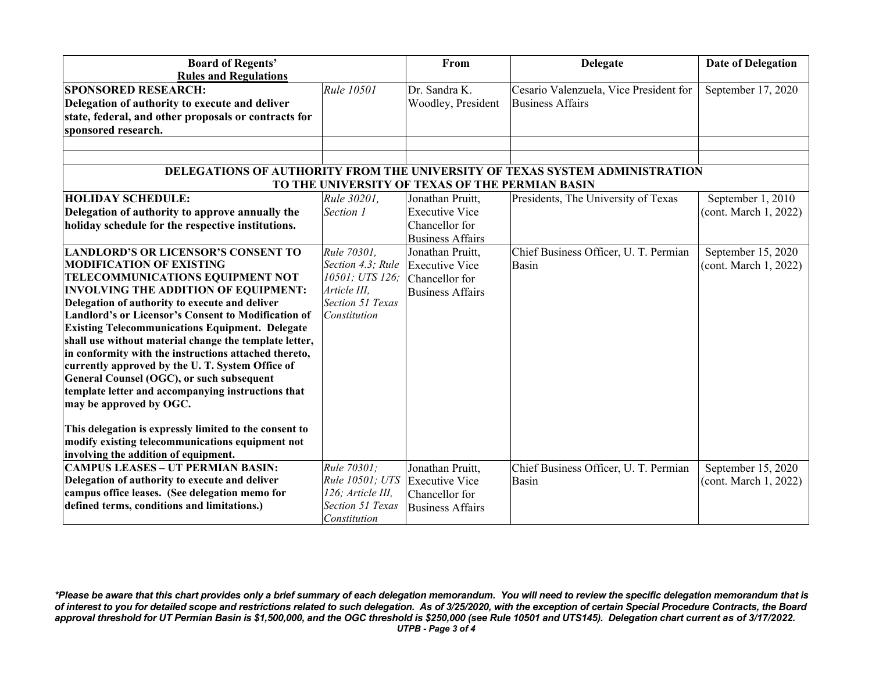| <b>Board of Regents'</b>                                                                        |                         | From                                            | <b>Delegate</b>                        | <b>Date of Delegation</b> |  |
|-------------------------------------------------------------------------------------------------|-------------------------|-------------------------------------------------|----------------------------------------|---------------------------|--|
| <b>Rules and Regulations</b>                                                                    |                         |                                                 |                                        |                           |  |
| <b>SPONSORED RESEARCH:</b>                                                                      | Rule 10501              | Dr. Sandra K.                                   | Cesario Valenzuela, Vice President for | September 17, 2020        |  |
| Delegation of authority to execute and deliver                                                  |                         | Woodley, President                              | <b>Business Affairs</b>                |                           |  |
| state, federal, and other proposals or contracts for                                            |                         |                                                 |                                        |                           |  |
| sponsored research.                                                                             |                         |                                                 |                                        |                           |  |
|                                                                                                 |                         |                                                 |                                        |                           |  |
|                                                                                                 |                         |                                                 |                                        |                           |  |
| DELEGATIONS OF AUTHORITY FROM THE UNIVERSITY OF TEXAS SYSTEM ADMINISTRATION                     |                         |                                                 |                                        |                           |  |
|                                                                                                 |                         | TO THE UNIVERSITY OF TEXAS OF THE PERMIAN BASIN |                                        |                           |  |
| <b>HOLIDAY SCHEDULE:</b>                                                                        | Rule 30201.             | Jonathan Pruitt,                                | Presidents, The University of Texas    | September 1, 2010         |  |
| Delegation of authority to approve annually the                                                 | Section 1               | <b>Executive Vice</b>                           |                                        | (cont. March 1, 2022)     |  |
| holiday schedule for the respective institutions.                                               |                         | Chancellor for                                  |                                        |                           |  |
|                                                                                                 |                         | <b>Business Affairs</b>                         |                                        |                           |  |
| <b>LANDLORD'S OR LICENSOR'S CONSENT TO</b>                                                      | Rule 70301,             | Jonathan Pruitt,                                | Chief Business Officer, U. T. Permian  | September 15, 2020        |  |
| <b>MODIFICATION OF EXISTING</b>                                                                 | Section 4.3; Rule       | <b>Executive Vice</b>                           | <b>Basin</b>                           | (cont. March 1, 2022)     |  |
| TELECOMMUNICATIONS EQUIPMENT NOT                                                                | 10501; UTS 126;         | Chancellor for                                  |                                        |                           |  |
| <b>INVOLVING THE ADDITION OF EQUIPMENT:</b>                                                     | Article III,            | <b>Business Affairs</b>                         |                                        |                           |  |
| Delegation of authority to execute and deliver                                                  | Section 51 Texas        |                                                 |                                        |                           |  |
| <b>Landlord's or Licensor's Consent to Modification of</b>                                      | Constitution            |                                                 |                                        |                           |  |
| <b>Existing Telecommunications Equipment. Delegate</b>                                          |                         |                                                 |                                        |                           |  |
| shall use without material change the template letter,                                          |                         |                                                 |                                        |                           |  |
| in conformity with the instructions attached thereto,                                           |                         |                                                 |                                        |                           |  |
| currently approved by the U.T. System Office of                                                 |                         |                                                 |                                        |                           |  |
| General Counsel (OGC), or such subsequent<br>template letter and accompanying instructions that |                         |                                                 |                                        |                           |  |
| may be approved by OGC.                                                                         |                         |                                                 |                                        |                           |  |
|                                                                                                 |                         |                                                 |                                        |                           |  |
| This delegation is expressly limited to the consent to                                          |                         |                                                 |                                        |                           |  |
| modify existing telecommunications equipment not                                                |                         |                                                 |                                        |                           |  |
| involving the addition of equipment.                                                            |                         |                                                 |                                        |                           |  |
| <b>CAMPUS LEASES - UT PERMIAN BASIN:</b>                                                        | Rule 70301;             | Jonathan Pruitt,                                | Chief Business Officer, U. T. Permian  | September 15, 2020        |  |
| Delegation of authority to execute and deliver                                                  | Rule 10501; UTS         | <b>Executive Vice</b>                           | Basin                                  | (cont. March 1, 2022)     |  |
| campus office leases. (See delegation memo for                                                  | 126; Article III,       | Chancellor for                                  |                                        |                           |  |
| defined terms, conditions and limitations.)                                                     | <b>Section 51 Texas</b> | <b>Business Affairs</b>                         |                                        |                           |  |
|                                                                                                 | Constitution            |                                                 |                                        |                           |  |

*\*Please be aware that this chart provides only a brief summary of each delegation memorandum. You will need to review the specific delegation memorandum that is of interest to you for detailed scope and restrictions related to such delegation. As of 3/25/2020, with the exception of certain Special Procedure Contracts, the Board approval threshold for UT Permian Basin is \$1,500,000, and the OGC threshold is \$250,000 (see Rule 10501 and UTS145). Delegation chart current as of 3/17/2022. UTPB - Page 3 of 4*